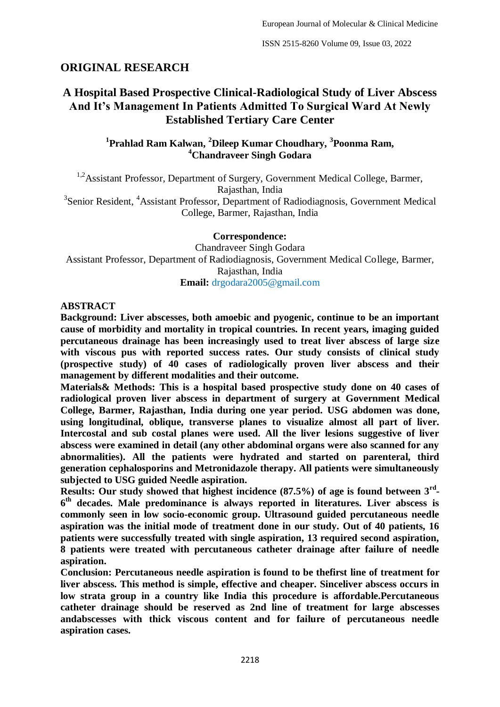# **ORIGINAL RESEARCH**

# **A Hospital Based Prospective Clinical-Radiological Study of Liver Abscess And It's Management In Patients Admitted To Surgical Ward At Newly Established Tertiary Care Center**

<sup>1</sup> Prahlad Ram Kalwan, <sup>2</sup>Dileep Kumar Choudhary, <sup>3</sup> Poonma Ram, **<sup>4</sup>Chandraveer Singh Godara**

<sup>1,2</sup>Assistant Professor, Department of Surgery, Government Medical College, Barmer, Rajasthan, India <sup>3</sup>Senior Resident, <sup>4</sup>Assistant Professor, Department of Radiodiagnosis, Government Medical

College, Barmer, Rajasthan, India

**Correspondence:**

Chandraveer Singh Godara Assistant Professor, Department of Radiodiagnosis, Government Medical College, Barmer, Rajasthan, India **Email:** drgodara2005@gmail.com

# **ABSTRACT**

**Background: Liver abscesses, both amoebic and pyogenic, continue to be an important cause of morbidity and mortality in tropical countries. In recent years, imaging guided percutaneous drainage has been increasingly used to treat liver abscess of large size with viscous pus with reported success rates. Our study consists of clinical study (prospective study) of 40 cases of radiologically proven liver abscess and their management by different modalities and their outcome.**

**Materials& Methods: This is a hospital based prospective study done on 40 cases of radiological proven liver abscess in department of surgery at Government Medical College, Barmer, Rajasthan, India during one year period. USG abdomen was done, using longitudinal, oblique, transverse planes to visualize almost all part of liver. Intercostal and sub costal planes were used. All the liver lesions suggestive of liver abscess were examined in detail (any other abdominal organs were also scanned for any abnormalities). All the patients were hydrated and started on parenteral, third generation cephalosporins and Metronidazole therapy. All patients were simultaneously subjected to USG guided Needle aspiration.** 

**Results: Our study showed that highest incidence (87.5%) of age is found between 3rd - 6 th decades. Male predominance is always reported in literatures. Liver abscess is commonly seen in low socio-economic group. Ultrasound guided percutaneous needle aspiration was the initial mode of treatment done in our study. Out of 40 patients, 16 patients were successfully treated with single aspiration, 13 required second aspiration, 8 patients were treated with percutaneous catheter drainage after failure of needle aspiration.**

**Conclusion: Percutaneous needle aspiration is found to be thefirst line of treatment for liver abscess. This method is simple, effective and cheaper. Sinceliver abscess occurs in low strata group in a country like India this procedure is affordable.Percutaneous catheter drainage should be reserved as 2nd line of treatment for large abscesses andabscesses with thick viscous content and for failure of percutaneous needle aspiration cases.**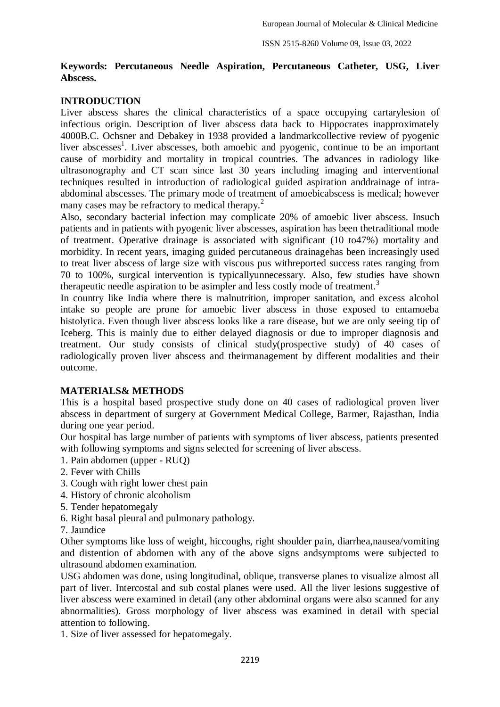# **Keywords: Percutaneous Needle Aspiration, Percutaneous Catheter, USG, Liver Abscess.**

# **INTRODUCTION**

Liver abscess shares the clinical characteristics of a space occupying cartarylesion of infectious origin. Description of liver abscess data back to Hippocrates inapproximately 4000B.C. Ochsner and Debakey in 1938 provided a landmarkcollective review of pyogenic liver abscesses<sup>1</sup>. Liver abscesses, both amoebic and pyogenic, continue to be an important cause of morbidity and mortality in tropical countries. The advances in radiology like ultrasonography and CT scan since last 30 years including imaging and interventional techniques resulted in introduction of radiological guided aspiration anddrainage of intraabdominal abscesses. The primary mode of treatment of amoebicabscess is medical; however many cases may be refractory to medical therapy.<sup>2</sup>

Also, secondary bacterial infection may complicate 20% of amoebic liver abscess. Insuch patients and in patients with pyogenic liver abscesses, aspiration has been thetraditional mode of treatment. Operative drainage is associated with significant (10 to47%) mortality and morbidity. In recent years, imaging guided percutaneous drainagehas been increasingly used to treat liver abscess of large size with viscous pus withreported success rates ranging from 70 to 100%, surgical intervention is typicallyunnecessary. Also, few studies have shown therapeutic needle aspiration to be asimpler and less costly mode of treatment.<sup>3</sup>

In country like India where there is malnutrition, improper sanitation, and excess alcohol intake so people are prone for amoebic liver abscess in those exposed to entamoeba histolytica. Even though liver abscess looks like a rare disease, but we are only seeing tip of Iceberg. This is mainly due to either delayed diagnosis or due to improper diagnosis and treatment. Our study consists of clinical study(prospective study) of 40 cases of radiologically proven liver abscess and theirmanagement by different modalities and their outcome.

#### **MATERIALS& METHODS**

This is a hospital based prospective study done on 40 cases of radiological proven liver abscess in department of surgery at Government Medical College, Barmer, Rajasthan, India during one year period.

Our hospital has large number of patients with symptoms of liver abscess, patients presented with following symptoms and signs selected for screening of liver abscess.

- 1. Pain abdomen (upper RUQ)
- 2. Fever with Chills
- 3. Cough with right lower chest pain
- 4. History of chronic alcoholism
- 5. Tender hepatomegaly
- 6. Right basal pleural and pulmonary pathology.
- 7. Jaundice

Other symptoms like loss of weight, hiccoughs, right shoulder pain, diarrhea,nausea/vomiting and distention of abdomen with any of the above signs andsymptoms were subjected to ultrasound abdomen examination.

USG abdomen was done, using longitudinal, oblique, transverse planes to visualize almost all part of liver. Intercostal and sub costal planes were used. All the liver lesions suggestive of liver abscess were examined in detail (any other abdominal organs were also scanned for any abnormalities). Gross morphology of liver abscess was examined in detail with special attention to following.

1. Size of liver assessed for hepatomegaly.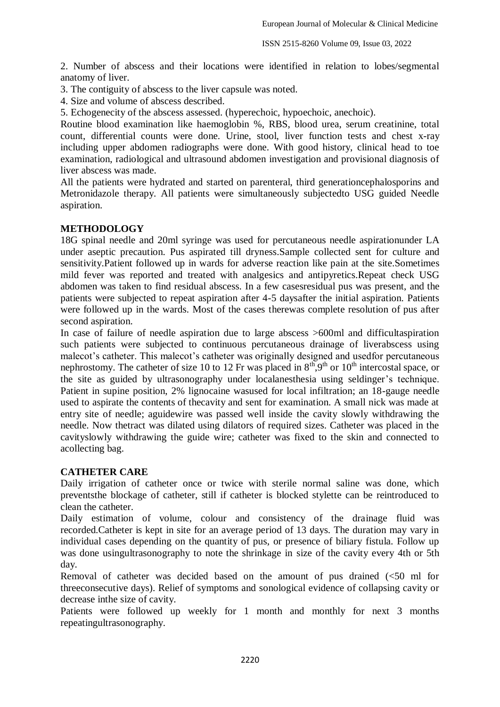2. Number of abscess and their locations were identified in relation to lobes/segmental anatomy of liver.

3. The contiguity of abscess to the liver capsule was noted.

4. Size and volume of abscess described.

5. Echogenecity of the abscess assessed. (hyperechoic, hypoechoic, anechoic).

Routine blood examination like haemoglobin %, RBS, blood urea, serum creatinine, total count, differential counts were done. Urine, stool, liver function tests and chest x-ray including upper abdomen radiographs were done. With good history, clinical head to toe examination, radiological and ultrasound abdomen investigation and provisional diagnosis of liver abscess was made.

All the patients were hydrated and started on parenteral, third generationcephalosporins and Metronidazole therapy. All patients were simultaneously subjectedto USG guided Needle aspiration.

# **METHODOLOGY**

18G spinal needle and 20ml syringe was used for percutaneous needle aspirationunder LA under aseptic precaution. Pus aspirated till dryness.Sample collected sent for culture and sensitivity.Patient followed up in wards for adverse reaction like pain at the site.Sometimes mild fever was reported and treated with analgesics and antipyretics.Repeat check USG abdomen was taken to find residual abscess. In a few casesresidual pus was present, and the patients were subjected to repeat aspiration after 4-5 daysafter the initial aspiration. Patients were followed up in the wards. Most of the cases therewas complete resolution of pus after second aspiration.

In case of failure of needle aspiration due to large abscess >600ml and difficultaspiration such patients were subjected to continuous percutaneous drainage of liverabscess using malecot's catheter. This malecot's catheter was originally designed and usedfor percutaneous nephrostomy. The catheter of size 10 to 12 Fr was placed in  $8<sup>th</sup>,9<sup>th</sup>$  or 10<sup>th</sup> intercostal space, or the site as guided by ultrasonography under localanesthesia using seldinger's technique. Patient in supine position, 2% lignocaine wasused for local infiltration; an 18-gauge needle used to aspirate the contents of thecavity and sent for examination. A small nick was made at entry site of needle; aguidewire was passed well inside the cavity slowly withdrawing the needle. Now thetract was dilated using dilators of required sizes. Catheter was placed in the cavityslowly withdrawing the guide wire; catheter was fixed to the skin and connected to acollecting bag.

#### **CATHETER CARE**

Daily irrigation of catheter once or twice with sterile normal saline was done, which preventsthe blockage of catheter, still if catheter is blocked stylette can be reintroduced to clean the catheter.

Daily estimation of volume, colour and consistency of the drainage fluid was recorded.Catheter is kept in site for an average period of 13 days. The duration may vary in individual cases depending on the quantity of pus, or presence of biliary fistula. Follow up was done usingultrasonography to note the shrinkage in size of the cavity every 4th or 5th day.

Removal of catheter was decided based on the amount of pus drained (<50 ml for threeconsecutive days). Relief of symptoms and sonological evidence of collapsing cavity or decrease inthe size of cavity.

Patients were followed up weekly for 1 month and monthly for next 3 months repeatingultrasonography.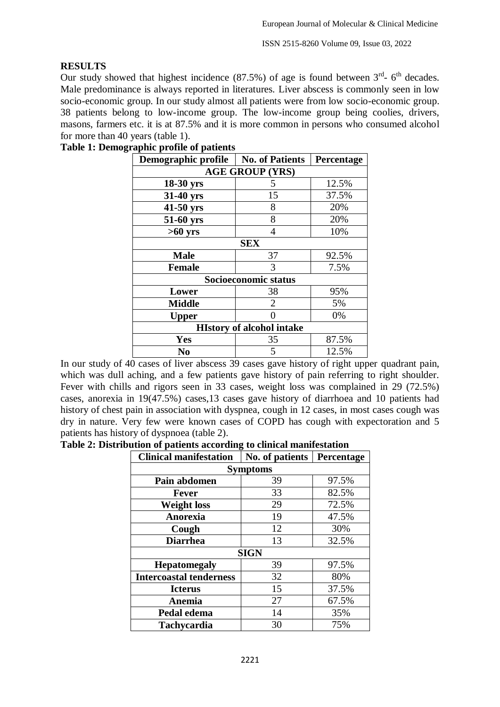# **RESULTS**

Our study showed that highest incidence  $(87.5%)$  of age is found between  $3<sup>rd</sup>$ - 6<sup>th</sup> decades. Male predominance is always reported in literatures. Liver abscess is commonly seen in low socio-economic group. In our study almost all patients were from low socio-economic group. 38 patients belong to low-income group. The low-income group being coolies, drivers, masons, farmers etc. it is at 87.5% and it is more common in persons who consumed alcohol for more than 40 years (table 1).

| Demographic profile              | <b>No. of Patients</b> | Percentage |  |  |  |
|----------------------------------|------------------------|------------|--|--|--|
| <b>AGE GROUP (YRS)</b>           |                        |            |  |  |  |
| 18-30 yrs                        | 5                      | 12.5%      |  |  |  |
| 31-40 yrs                        | 15                     | 37.5%      |  |  |  |
| 41-50 yrs                        | 8                      | 20%        |  |  |  |
| 51-60 yrs                        | 8                      | 20%        |  |  |  |
| $>60$ yrs                        | 4                      | 10%        |  |  |  |
| <b>SEX</b>                       |                        |            |  |  |  |
| <b>Male</b>                      | 37                     | 92.5%      |  |  |  |
| <b>Female</b>                    | 3                      | 7.5%       |  |  |  |
| Socioeconomic status             |                        |            |  |  |  |
| Lower                            | 38                     | 95%        |  |  |  |
| <b>Middle</b>                    | $\mathcal{D}_{\cdot}$  | 5%         |  |  |  |
| <b>Upper</b>                     |                        | 0%         |  |  |  |
| <b>HIstory of alcohol intake</b> |                        |            |  |  |  |
| <b>Yes</b>                       | 35                     | 87.5%      |  |  |  |
| N <sub>0</sub>                   | 5                      | 12.5%      |  |  |  |

#### **Table 1: Demographic profile of patients**

In our study of 40 cases of liver abscess 39 cases gave history of right upper quadrant pain, which was dull aching, and a few patients gave history of pain referring to right shoulder. Fever with chills and rigors seen in 33 cases, weight loss was complained in 29 (72.5%) cases, anorexia in 19(47.5%) cases,13 cases gave history of diarrhoea and 10 patients had history of chest pain in association with dyspnea, cough in 12 cases, in most cases cough was dry in nature. Very few were known cases of COPD has cough with expectoration and 5 patients has history of dyspnoea (table 2).

**Table 2: Distribution of patients according to clinical manifestation**

| <b>Clinical manifestation</b>  | No. of patients | Percentage |  |  |  |
|--------------------------------|-----------------|------------|--|--|--|
| <b>Symptoms</b>                |                 |            |  |  |  |
| Pain abdomen                   | 39              | 97.5%      |  |  |  |
| Fever                          | 33              | 82.5%      |  |  |  |
| <b>Weight loss</b>             | 29              | 72.5%      |  |  |  |
| Anorexia                       | 19              | 47.5%      |  |  |  |
| Cough                          | 12              | 30%        |  |  |  |
| <b>Diarrhea</b>                | 13              | 32.5%      |  |  |  |
| <b>SIGN</b>                    |                 |            |  |  |  |
| <b>Hepatomegaly</b>            | 39              | 97.5%      |  |  |  |
| <b>Intercoastal tenderness</b> | 32              | 80%        |  |  |  |
| <b>Icterus</b>                 | 15              | 37.5%      |  |  |  |
| Anemia                         | 27              | 67.5%      |  |  |  |
| Pedal edema                    | 14              | 35%        |  |  |  |
| <b>Tachycardia</b>             | 30              | 75%        |  |  |  |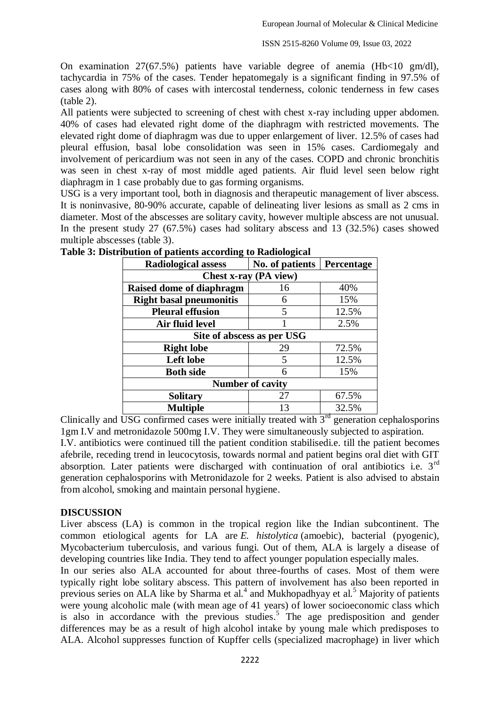On examination 27(67.5%) patients have variable degree of anemia (Hb<10 gm/dl), tachycardia in 75% of the cases. Tender hepatomegaly is a significant finding in 97.5% of cases along with 80% of cases with intercostal tenderness, colonic tenderness in few cases (table 2).

All patients were subjected to screening of chest with chest x-ray including upper abdomen. 40% of cases had elevated right dome of the diaphragm with restricted movements. The elevated right dome of diaphragm was due to upper enlargement of liver. 12.5% of cases had pleural effusion, basal lobe consolidation was seen in 15% cases. Cardiomegaly and involvement of pericardium was not seen in any of the cases. COPD and chronic bronchitis was seen in chest x-ray of most middle aged patients. Air fluid level seen below right diaphragm in 1 case probably due to gas forming organisms.

USG is a very important tool, both in diagnosis and therapeutic management of liver abscess. It is noninvasive, 80-90% accurate, capable of delineating liver lesions as small as 2 cms in diameter. Most of the abscesses are solitary cavity, however multiple abscess are not unusual. In the present study 27 (67.5%) cases had solitary abscess and 13 (32.5%) cases showed multiple abscesses (table 3).

| <b>Radiological assess</b>     | No. of patients | Percentage |  |  |  |
|--------------------------------|-----------------|------------|--|--|--|
| Chest x-ray (PA view)          |                 |            |  |  |  |
| Raised dome of diaphragm       | 16              | 40%        |  |  |  |
| <b>Right basal pneumonitis</b> | 6               | 15%        |  |  |  |
| <b>Pleural effusion</b>        | 5               | 12.5%      |  |  |  |
| Air fluid level                |                 | 2.5%       |  |  |  |
| Site of abscess as per USG     |                 |            |  |  |  |
| <b>Right lobe</b>              | 29              | 72.5%      |  |  |  |
| Left lobe                      | 5               | 12.5%      |  |  |  |
| <b>Both side</b>               | 6               | 15%        |  |  |  |
| <b>Number of cavity</b>        |                 |            |  |  |  |
| <b>Solitary</b>                | 27              | 67.5%      |  |  |  |
| <b>Multiple</b>                | 13              | 32.5%      |  |  |  |

| Table 3: Distribution of patients according to Radiological |  |  |
|-------------------------------------------------------------|--|--|
|                                                             |  |  |
|                                                             |  |  |

Clinically and USG confirmed cases were initially treated with  $3<sup>rd</sup>$  generation cephalosporins 1gm I.V and metronidazole 500mg I.V. They were simultaneously subjected to aspiration. I.V. antibiotics were continued till the patient condition stabilisedi.e. till the patient becomes afebrile, receding trend in leucocytosis, towards normal and patient begins oral diet with GIT

absorption. Later patients were discharged with continuation of oral antibiotics i.e. 3<sup>rd</sup> generation cephalosporins with Metronidazole for 2 weeks. Patient is also advised to abstain from alcohol, smoking and maintain personal hygiene.

# **DISCUSSION**

Liver abscess (LA) is common in the tropical region like the Indian subcontinent. The common etiological agents for LA are *E. histolytica* (amoebic), bacterial (pyogenic), Mycobacterium tuberculosis, and various fungi. Out of them, ALA is largely a disease of developing countries like India. They tend to affect younger population especially males.

In our series also ALA accounted for about three-fourths of cases. Most of them were typically right lobe solitary abscess. This pattern of involvement has also been reported in previous series on ALA like by Sharma et al. $<sup>4</sup>$  and Mukhopadhyay et al.<sup>5</sup> Majority of patients</sup> were young alcoholic male (with mean age of 41 years) of lower socioeconomic class which is also in accordance with the previous studies. 5 The age predisposition and gender differences may be as a result of high alcohol intake by young male which predisposes to ALA. Alcohol suppresses function of Kupffer cells (specialized macrophage) in liver which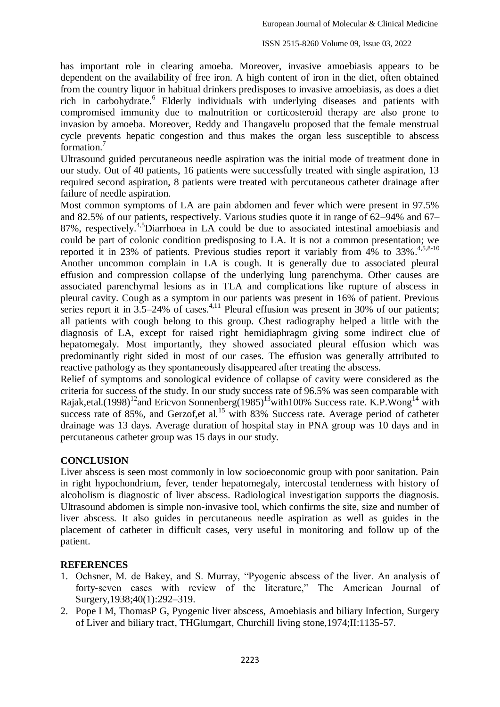has important role in clearing amoeba. Moreover, invasive amoebiasis appears to be dependent on the availability of free iron. A high content of iron in the diet, often obtained from the country liquor in habitual drinkers predisposes to invasive amoebiasis, as does a diet rich in carbohydrate. 6 Elderly individuals with underlying diseases and patients with compromised immunity due to malnutrition or corticosteroid therapy are also prone to invasion by amoeba. Moreover, Reddy and Thangavelu proposed that the female menstrual cycle prevents hepatic congestion and thus makes the organ less susceptible to abscess formation.<sup>7</sup>

Ultrasound guided percutaneous needle aspiration was the initial mode of treatment done in our study. Out of 40 patients, 16 patients were successfully treated with single aspiration, 13 required second aspiration, 8 patients were treated with percutaneous catheter drainage after failure of needle aspiration.

Most common symptoms of LA are pain abdomen and fever which were present in 97.5% and 82.5% of our patients, respectively. Various studies quote it in range of 62–94% and 67– 87%, respectively. 4,5Diarrhoea in LA could be due to associated intestinal amoebiasis and could be part of colonic condition predisposing to LA. It is not a common presentation; we reported it in 23% of patients. Previous studies report it variably from  $4\%$  to 33%.<sup>4,5,8-10</sup> Another uncommon complain in LA is cough. It is generally due to associated pleural effusion and compression collapse of the underlying lung parenchyma. Other causes are associated parenchymal lesions as in TLA and complications like rupture of abscess in pleural cavity. Cough as a symptom in our patients was present in 16% of patient. Previous series report it in  $3.5-24\%$  of cases.<sup>4,11</sup> Pleural effusion was present in 30% of our patients; all patients with cough belong to this group. Chest radiography helped a little with the diagnosis of LA, except for raised right hemidiaphragm giving some indirect clue of hepatomegaly. Most importantly, they showed associated pleural effusion which was predominantly right sided in most of our cases. The effusion was generally attributed to reactive pathology as they spontaneously disappeared after treating the abscess.

Relief of symptoms and sonological evidence of collapse of cavity were considered as the criteria for success of the study. In our study success rate of 96.5% was seen comparable with Rajak,etal.(1998)<sup>12</sup>and Ericvon Sonnenberg(1985)<sup>13</sup>with100% Success rate. K.P. Wong<sup>14</sup> with success rate of 85%, and Gerzof,et al.<sup>15</sup> with 83% Success rate. Average period of catheter drainage was 13 days. Average duration of hospital stay in PNA group was 10 days and in percutaneous catheter group was 15 days in our study.

#### **CONCLUSION**

Liver abscess is seen most commonly in low socioeconomic group with poor sanitation. Pain in right hypochondrium, fever, tender hepatomegaly, intercostal tenderness with history of alcoholism is diagnostic of liver abscess. Radiological investigation supports the diagnosis. Ultrasound abdomen is simple non-invasive tool, which confirms the site, size and number of liver abscess. It also guides in percutaneous needle aspiration as well as guides in the placement of catheter in difficult cases, very useful in monitoring and follow up of the patient.

## **REFERENCES**

- 1. Ochsner, M. de Bakey, and S. Murray, "Pyogenic abscess of the liver. An analysis of forty-seven cases with review of the literature," The American Journal of Surgery,1938;40(1):292–319.
- 2. Pope I M, ThomasP G, Pyogenic liver abscess, Amoebiasis and biliary Infection, Surgery of Liver and biliary tract, THGlumgart, Churchill living stone,1974;II:1135-57.